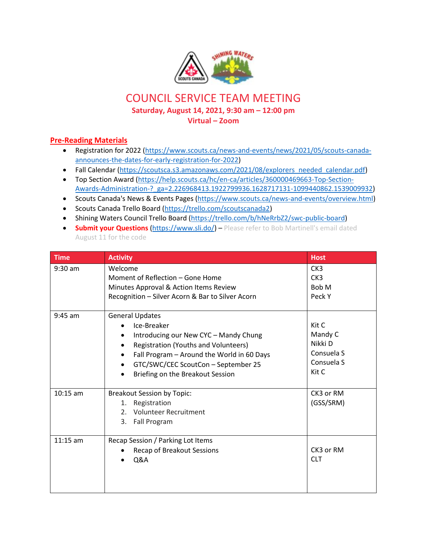

## COUNCIL SERVICE TEAM MEETING

**Saturday, August 14, 2021, 9:30 am – 12:00 pm**

**Virtual – Zoom**

## **Pre-Reading Materials**

- Registration for 2022 [\(https://www.scouts.ca/news-and-events/news/2021/05/scouts-canada](https://www.scouts.ca/news-and-events/news/2021/05/scouts-canada-announces-the-dates-for-early-registration-for-2022)[announces-the-dates-for-early-registration-for-2022\)](https://www.scouts.ca/news-and-events/news/2021/05/scouts-canada-announces-the-dates-for-early-registration-for-2022)
- Fall Calendar [\(https://scoutsca.s3.amazonaws.com/2021/08/explorers\\_needed\\_calendar.pdf\)](https://scoutsca.s3.amazonaws.com/2021/08/explorers_needed_calendar.pdf)
- Top Section Award [\(https://help.scouts.ca/hc/en-ca/articles/360000469663-Top-Section-](https://help.scouts.ca/hc/en-ca/articles/360000469663-Top-Section-Awards-Administration-?_ga=2.226968413.1922799936.1628717131-1099440862.1539009932)[Awards-Administration-?\\_ga=2.226968413.1922799936.1628717131-1099440862.1539009932\)](https://help.scouts.ca/hc/en-ca/articles/360000469663-Top-Section-Awards-Administration-?_ga=2.226968413.1922799936.1628717131-1099440862.1539009932)
- Scouts Canada's News & Events Pages [\(https://www.scouts.ca/news-and-events/overview.html\)](https://www.scouts.ca/news-and-events/overview.html)
- Scouts Canada Trello Board [\(https://trello.com/scoutscanada2\)](https://trello.com/scoutscanada2)
- Shining Waters Council Trello Board [\(https://trello.com/b/hNeRrbZ2/swc-public-board\)](https://trello.com/b/hNeRrbZ2/swc-public-board)
- **Submit your Questions [\(https://www.sli.do/\)](https://www.sli.do/) Please refer to Bob Martinell's email dated** August 11 for the code

| <b>Time</b> | <b>Activity</b>                                                                                                                                                                                                                                              | <b>Host</b>                                                      |
|-------------|--------------------------------------------------------------------------------------------------------------------------------------------------------------------------------------------------------------------------------------------------------------|------------------------------------------------------------------|
| $9:30$ am   | Welcome<br>Moment of Reflection – Gone Home<br>Minutes Approval & Action Items Review<br>Recognition - Silver Acorn & Bar to Silver Acorn                                                                                                                    | CK <sub>3</sub><br>CK <sub>3</sub><br>Bob M<br>Peck Y            |
| $9:45$ am   | <b>General Updates</b><br>Ice-Breaker<br>Introducing our New CYC - Mandy Chung<br>Registration (Youths and Volunteers)<br>Fall Program - Around the World in 60 Days<br>$\bullet$<br>GTC/SWC/CEC ScoutCon - September 25<br>Briefing on the Breakout Session | Kit C<br>Mandy C<br>Nikki D<br>Consuela S<br>Consuela S<br>Kit C |
| $10:15$ am  | <b>Breakout Session by Topic:</b><br>Registration<br>1.<br><b>Volunteer Recruitment</b><br>$2^{\circ}$<br>Fall Program<br>3.                                                                                                                                 | CK3 or RM<br>(GSS/SRM)                                           |
| $11:15$ am  | Recap Session / Parking Lot Items<br>Recap of Breakout Sessions<br>Q&A                                                                                                                                                                                       | CK3 or RM<br><b>CLT</b>                                          |